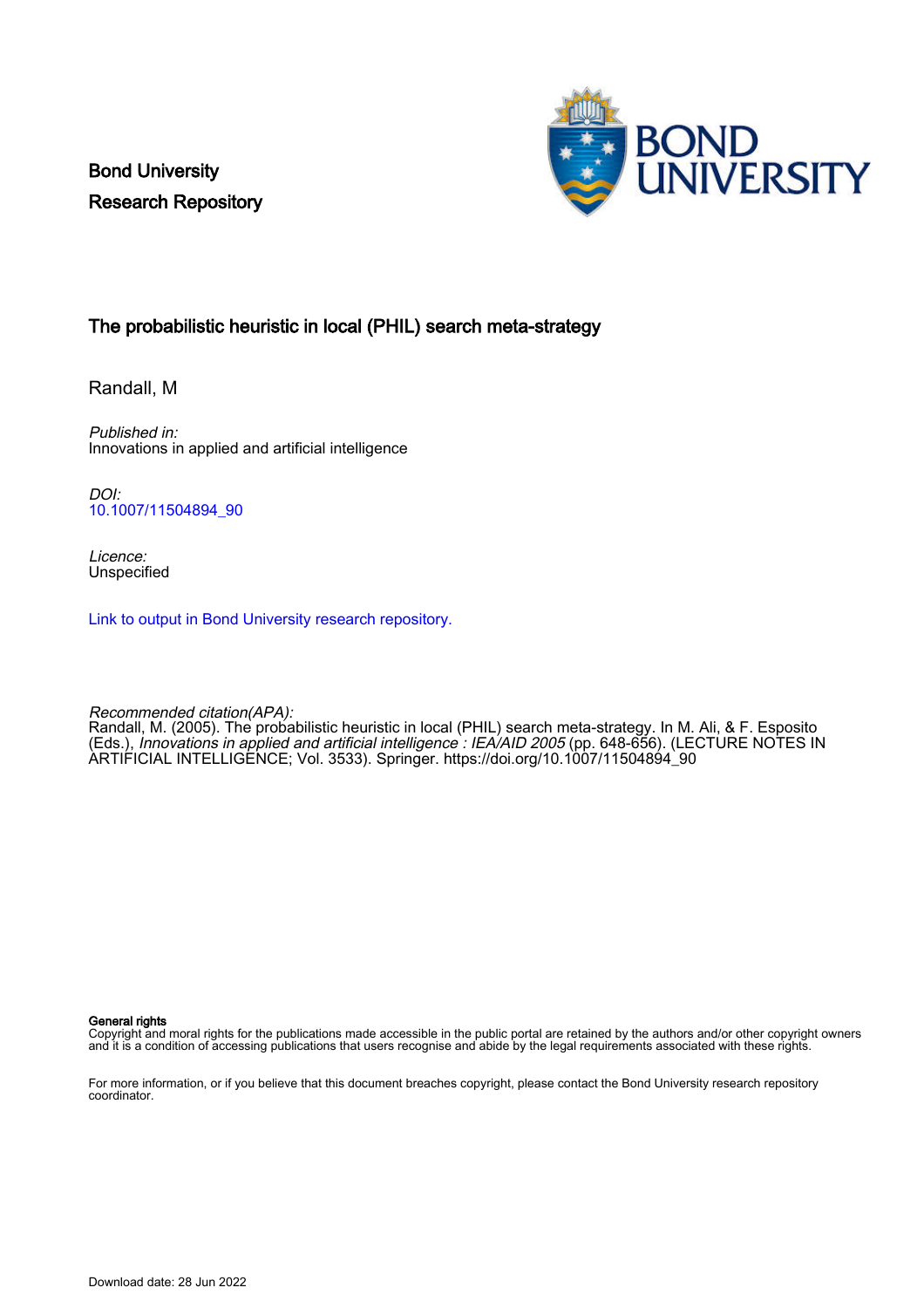Bond University Research Repository



## The probabilistic heuristic in local (PHIL) search meta-strategy

Randall, M

Published in: Innovations in applied and artificial intelligence

DOI: [10.1007/11504894\\_90](https://doi.org/10.1007/11504894_90)

Licence: Unspecified

[Link to output in Bond University research repository.](https://research.bond.edu.au/en/publications/ea22695e-2edc-4599-a2b7-99ead89d133b)

Recommended citation(APA):

Randall, M. (2005). The probabilistic heuristic in local (PHIL) search meta-strategy. In M. Ali, & F. Esposito (Eds.), Innovations in applied and artificial intelligence : IEA/AID 2005 (pp. 648-656). (LECTURE NOTES IN ARTIFICIAL INTELLIGENCE; Vol. 3533). Springer. [https://doi.org/10.1007/11504894\\_90](https://doi.org/10.1007/11504894_90)

General rights

Copyright and moral rights for the publications made accessible in the public portal are retained by the authors and/or other copyright owners and it is a condition of accessing publications that users recognise and abide by the legal requirements associated with these rights.

For more information, or if you believe that this document breaches copyright, please contact the Bond University research repository coordinator.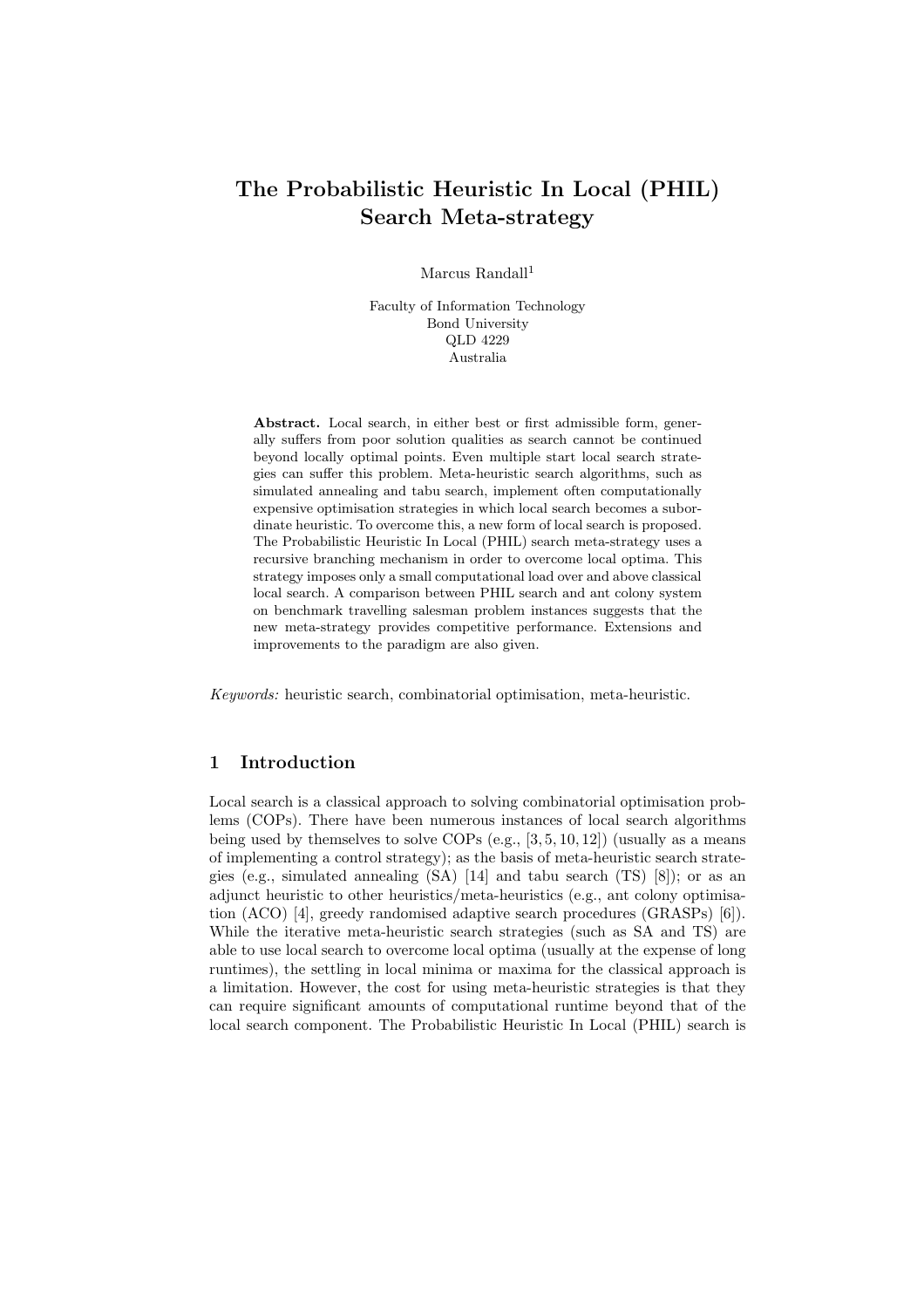# The Probabilistic Heuristic In Local (PHIL) Search Meta-strategy

Marcus Randall<sup>1</sup>

Faculty of Information Technology Bond University QLD 4229 Australia

Abstract. Local search, in either best or first admissible form, generally suffers from poor solution qualities as search cannot be continued beyond locally optimal points. Even multiple start local search strategies can suffer this problem. Meta-heuristic search algorithms, such as simulated annealing and tabu search, implement often computationally expensive optimisation strategies in which local search becomes a subordinate heuristic. To overcome this, a new form of local search is proposed. The Probabilistic Heuristic In Local (PHIL) search meta-strategy uses a recursive branching mechanism in order to overcome local optima. This strategy imposes only a small computational load over and above classical local search. A comparison between PHIL search and ant colony system on benchmark travelling salesman problem instances suggests that the new meta-strategy provides competitive performance. Extensions and improvements to the paradigm are also given.

Keywords: heuristic search, combinatorial optimisation, meta-heuristic.

#### 1 Introduction

Local search is a classical approach to solving combinatorial optimisation problems (COPs). There have been numerous instances of local search algorithms being used by themselves to solve COPs  $(e.g., [3, 5, 10, 12])$  (usually as a means of implementing a control strategy); as the basis of meta-heuristic search strategies (e.g., simulated annealing  $(SA)$  [14] and tabu search  $(TS)$  [8]); or as an adjunct heuristic to other heuristics/meta-heuristics (e.g., ant colony optimisation (ACO) [4], greedy randomised adaptive search procedures (GRASPs) [6]). While the iterative meta-heuristic search strategies (such as SA and TS) are able to use local search to overcome local optima (usually at the expense of long runtimes), the settling in local minima or maxima for the classical approach is a limitation. However, the cost for using meta-heuristic strategies is that they can require significant amounts of computational runtime beyond that of the local search component. The Probabilistic Heuristic In Local (PHIL) search is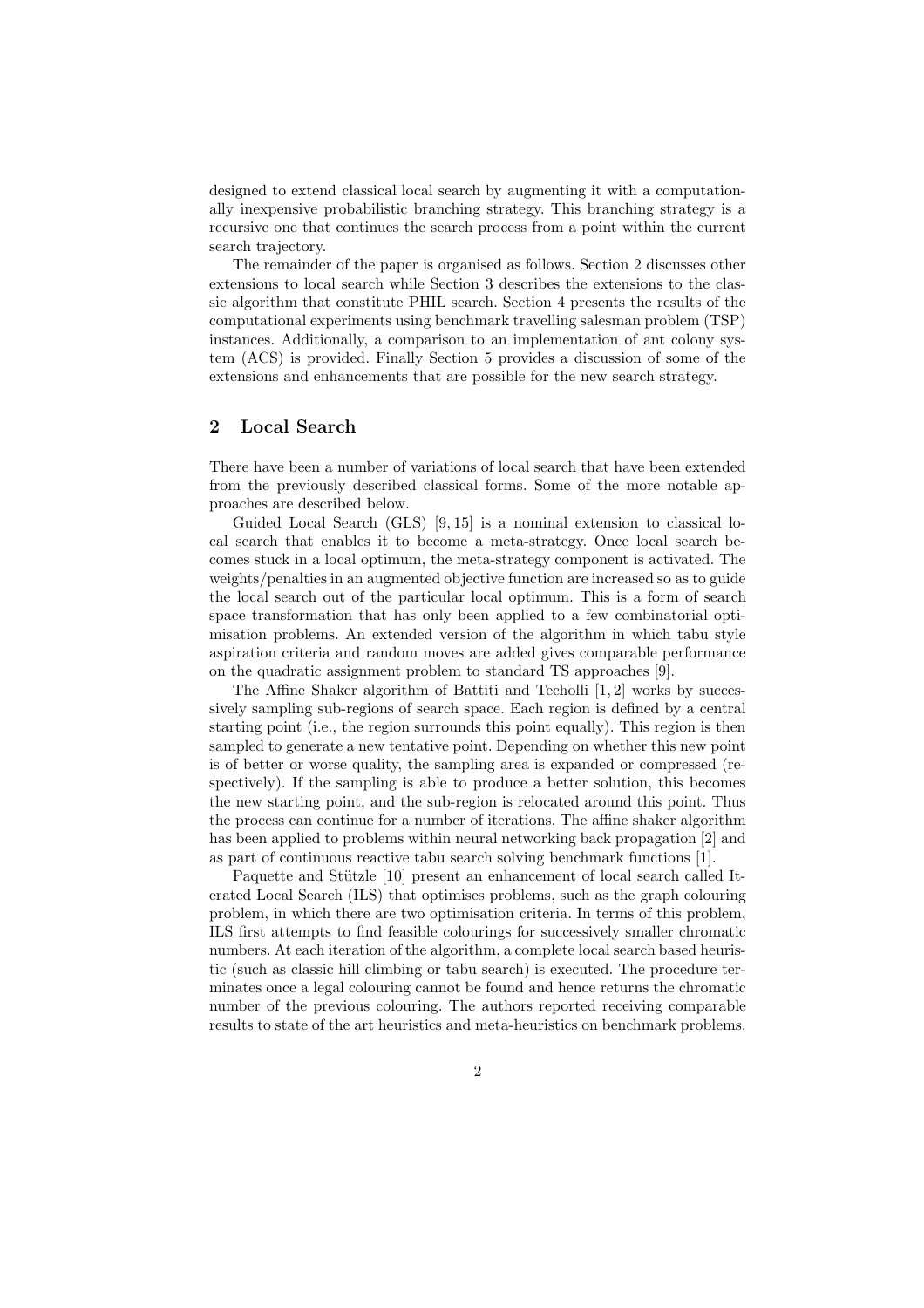designed to extend classical local search by augmenting it with a computationally inexpensive probabilistic branching strategy. This branching strategy is a recursive one that continues the search process from a point within the current search trajectory.

The remainder of the paper is organised as follows. Section 2 discusses other extensions to local search while Section 3 describes the extensions to the classic algorithm that constitute PHIL search. Section 4 presents the results of the computational experiments using benchmark travelling salesman problem (TSP) instances. Additionally, a comparison to an implementation of ant colony system (ACS) is provided. Finally Section 5 provides a discussion of some of the extensions and enhancements that are possible for the new search strategy.

#### 2 Local Search

There have been a number of variations of local search that have been extended from the previously described classical forms. Some of the more notable approaches are described below.

Guided Local Search (GLS) [9, 15] is a nominal extension to classical local search that enables it to become a meta-strategy. Once local search becomes stuck in a local optimum, the meta-strategy component is activated. The weights/penalties in an augmented objective function are increased so as to guide the local search out of the particular local optimum. This is a form of search space transformation that has only been applied to a few combinatorial optimisation problems. An extended version of the algorithm in which tabu style aspiration criteria and random moves are added gives comparable performance on the quadratic assignment problem to standard TS approaches [9].

The Affine Shaker algorithm of Battiti and Techolli [1, 2] works by successively sampling sub-regions of search space. Each region is defined by a central starting point (i.e., the region surrounds this point equally). This region is then sampled to generate a new tentative point. Depending on whether this new point is of better or worse quality, the sampling area is expanded or compressed (respectively). If the sampling is able to produce a better solution, this becomes the new starting point, and the sub-region is relocated around this point. Thus the process can continue for a number of iterations. The affine shaker algorithm has been applied to problems within neural networking back propagation [2] and as part of continuous reactive tabu search solving benchmark functions [1].

Paquette and Stützle [10] present an enhancement of local search called Iterated Local Search (ILS) that optimises problems, such as the graph colouring problem, in which there are two optimisation criteria. In terms of this problem, ILS first attempts to find feasible colourings for successively smaller chromatic numbers. At each iteration of the algorithm, a complete local search based heuristic (such as classic hill climbing or tabu search) is executed. The procedure terminates once a legal colouring cannot be found and hence returns the chromatic number of the previous colouring. The authors reported receiving comparable results to state of the art heuristics and meta-heuristics on benchmark problems.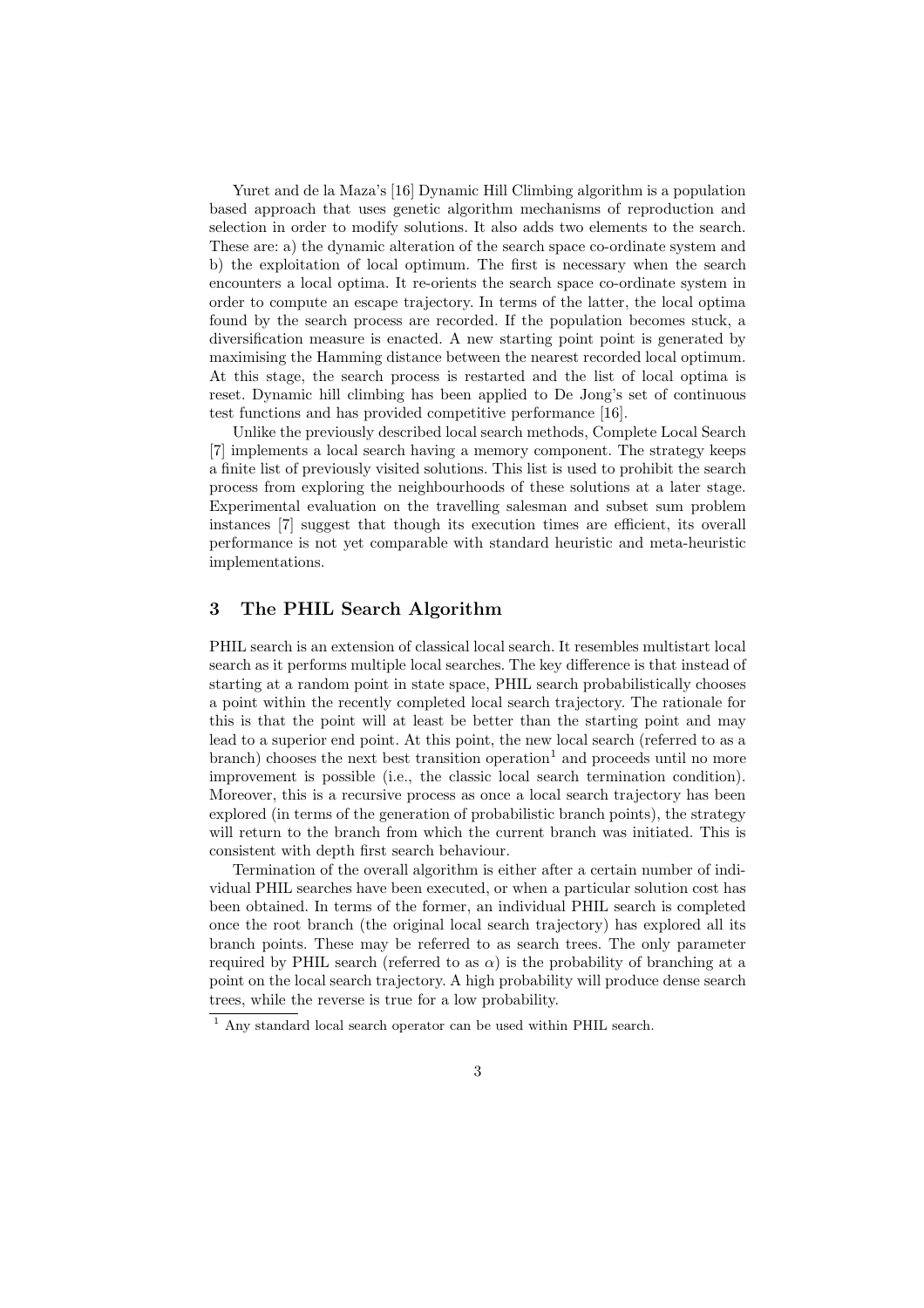Yuret and de la Maza's [16] Dynamic Hill Climbing algorithm is a population based approach that uses genetic algorithm mechanisms of reproduction and selection in order to modify solutions. It also adds two elements to the search. These are: a) the dynamic alteration of the search space co-ordinate system and b) the exploitation of local optimum. The first is necessary when the search encounters a local optima. It re-orients the search space co-ordinate system in order to compute an escape trajectory. In terms of the latter, the local optima found by the search process are recorded. If the population becomes stuck, a diversification measure is enacted. A new starting point point is generated by maximising the Hamming distance between the nearest recorded local optimum. At this stage, the search process is restarted and the list of local optima is reset. Dynamic hill climbing has been applied to De Jong's set of continuous test functions and has provided competitive performance [16].

Unlike the previously described local search methods, Complete Local Search [7] implements a local search having a memory component. The strategy keeps a finite list of previously visited solutions. This list is used to prohibit the search process from exploring the neighbourhoods of these solutions at a later stage. Experimental evaluation on the travelling salesman and subset sum problem instances [7] suggest that though its execution times are efficient, its overall performance is not yet comparable with standard heuristic and meta-heuristic implementations.

#### 3 The PHIL Search Algorithm

PHIL search is an extension of classical local search. It resembles multistart local search as it performs multiple local searches. The key difference is that instead of starting at a random point in state space, PHIL search probabilistically chooses a point within the recently completed local search trajectory. The rationale for this is that the point will at least be better than the starting point and may lead to a superior end point. At this point, the new local search (referred to as a  $\rm branch$ ) chooses the next best transition operation<sup>1</sup> and proceeds until no more improvement is possible (i.e., the classic local search termination condition). Moreover, this is a recursive process as once a local search trajectory has been explored (in terms of the generation of probabilistic branch points), the strategy will return to the branch from which the current branch was initiated. This is consistent with depth first search behaviour.

Termination of the overall algorithm is either after a certain number of individual PHIL searches have been executed, or when a particular solution cost has been obtained. In terms of the former, an individual PHIL search is completed once the root branch (the original local search trajectory) has explored all its branch points. These may be referred to as search trees. The only parameter required by PHIL search (referred to as  $\alpha$ ) is the probability of branching at a point on the local search trajectory. A high probability will produce dense search trees, while the reverse is true for a low probability.

<sup>&</sup>lt;sup>1</sup> Any standard local search operator can be used within PHIL search.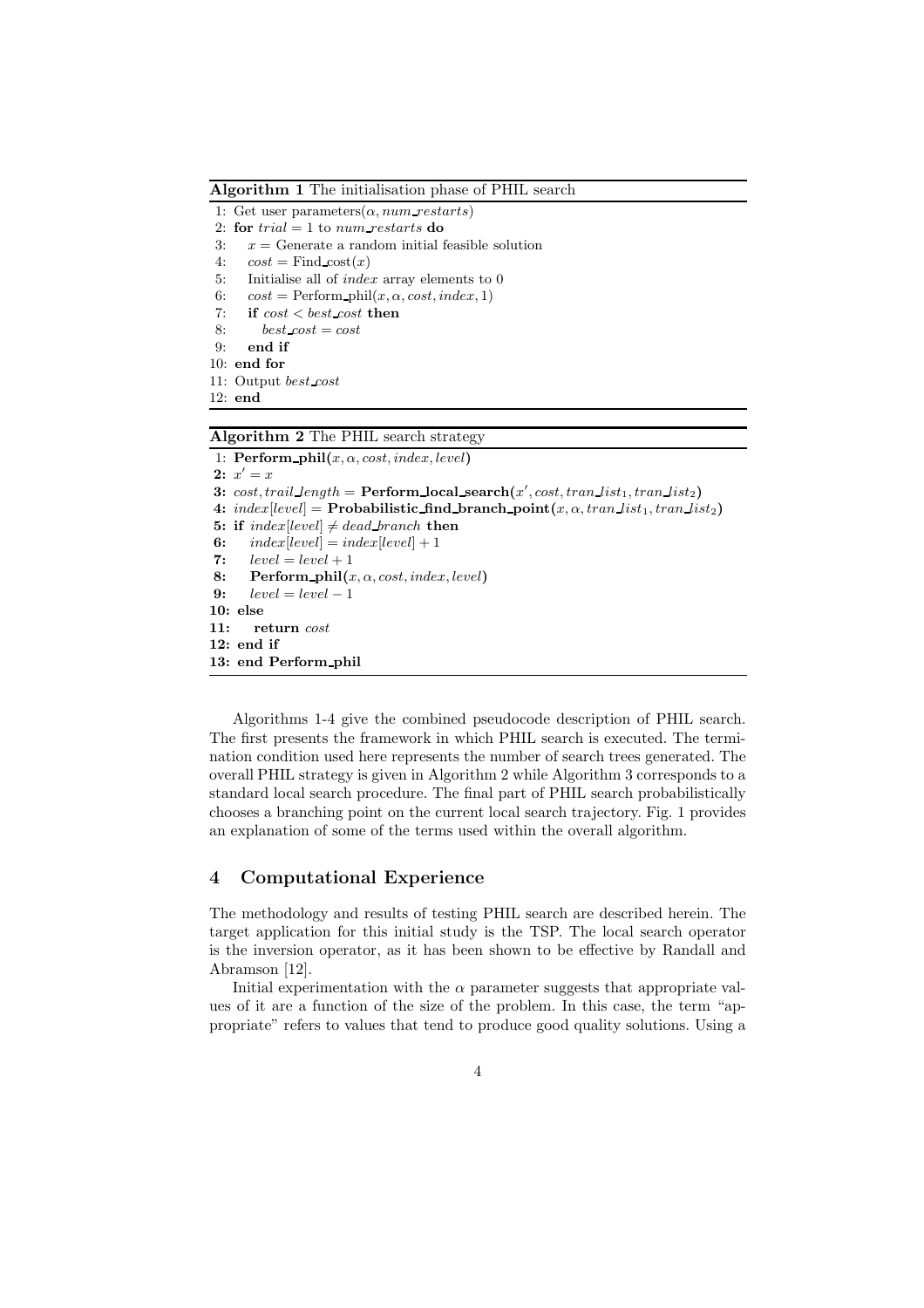Algorithm 1 The initialisation phase of PHIL search

- 1: Get user parameters $(\alpha, num\_restarts)$
- 2: for  $trial = 1$  to num restarts do
- 3:  $x =$  Generate a random initial feasible solution
- 4:  $cost = Find \cos t(x)$
- 5: Initialise all of index array elements to 0
- 6:  $cost = Perform\_phil(x, \alpha, cost, index, 1)$
- 7: if  $cost < best \ cost$  then
- 8: best  $cost = cost$
- 9: end if
- 10: end for
- 11: Output best cost
- 12: end

## Algorithm 2 The PHIL search strategy

1: Perform\_phil $(x, \alpha, cost, index, level)$ 2:  $x' = x$ 3:  $cost, trail.length = Perform\_local\_search(x', cost, tran\_list_1, tran\_list_2)$ 4:  $index[level] = \text{Probabilistic\_find\_branch\_point}(x, \alpha, tran\_list_1, tran\_list_2)$ 5: if  $index[level] \neq dead\ branch$  then 6:  $index[level] = index[level] + 1$ 7:  $level = level + 1$ 8: Perform\_phil $(x, \alpha, cost, index, level)$ 9:  $level = level - 1$ 10: else 11: return cost 12: end if 13: end Perform phil

Algorithms 1-4 give the combined pseudocode description of PHIL search. The first presents the framework in which PHIL search is executed. The termination condition used here represents the number of search trees generated. The overall PHIL strategy is given in Algorithm 2 while Algorithm 3 corresponds to a standard local search procedure. The final part of PHIL search probabilistically chooses a branching point on the current local search trajectory. Fig. 1 provides an explanation of some of the terms used within the overall algorithm.

#### 4 Computational Experience

The methodology and results of testing PHIL search are described herein. The target application for this initial study is the TSP. The local search operator is the inversion operator, as it has been shown to be effective by Randall and Abramson [12].

Initial experimentation with the  $\alpha$  parameter suggests that appropriate values of it are a function of the size of the problem. In this case, the term "appropriate" refers to values that tend to produce good quality solutions. Using a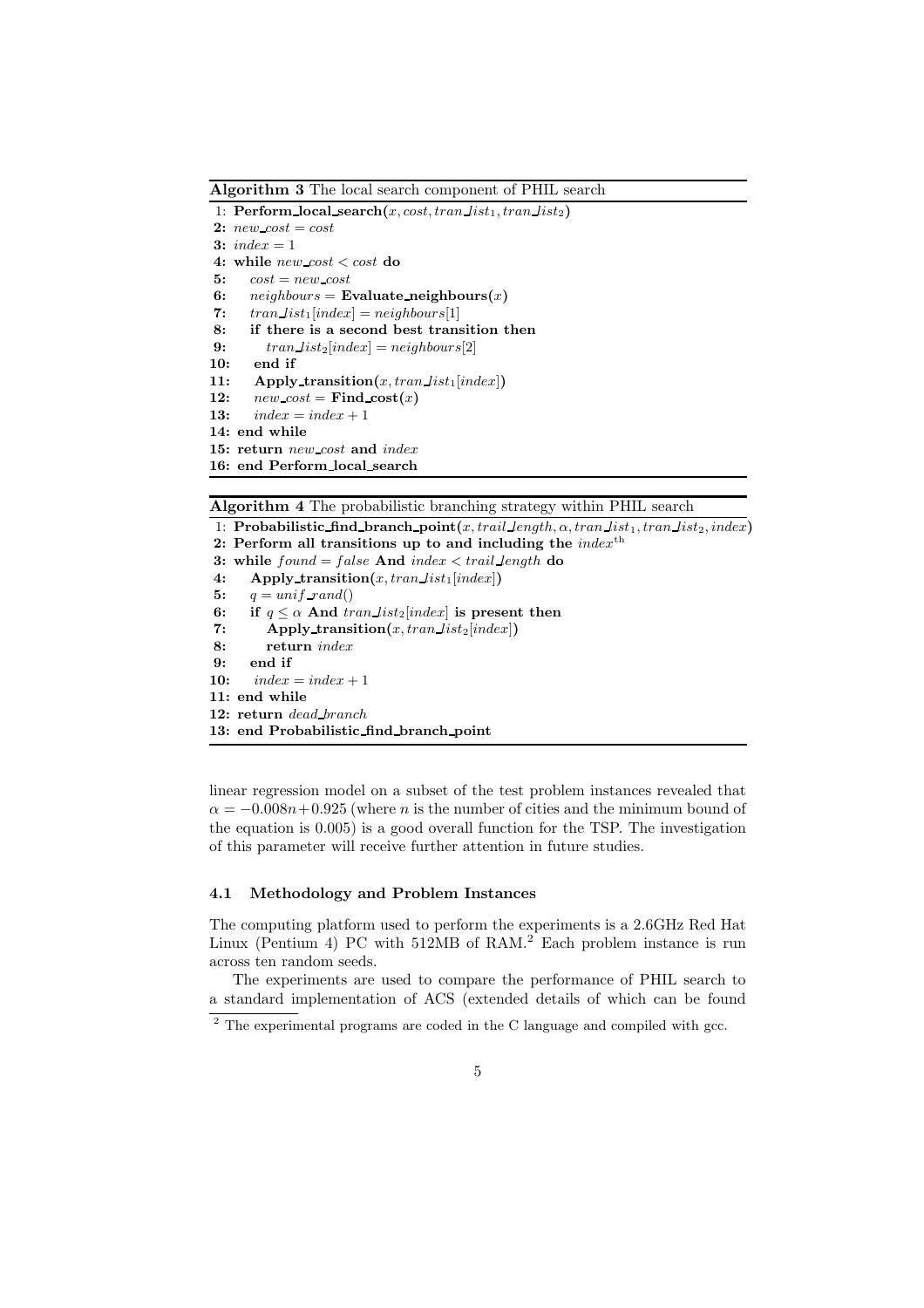Algorithm 3 The local search component of PHIL search

1: Perform local search $(x, cost, tran\_list_1, tran\_list_2)$ 

2:  $new\_cost = cost$ 

3:  $index = 1$ 

4: while  $new\_cost < cost$  do

5:  $cost = new\_cost$ 

6:  $neighbours = Evaluate\_neighbors(x)$ 

7:  $tran\_list_1/index] = neighbors[1]$ 

8: if there is a second best transition then

9:  $tran\_list_2/index] = neighbors[2]$ 

10: end if

11: Apply\_transition $(x, tran\_list_1[index])$ 

12:  $new\_cost = Find\_cost(x)$ 

13:  $index = index + 1$ 

```
14: end while
```
15: return new cost and index

16: end Perform local search

Algorithm 4 The probabilistic branching strategy within PHIL search

1: Probabilistic find branch point $(x, trail \text{Length}, \alpha, tran \text{ List}_1, tran \text{ List}_2, index)$ 2: Perform all transitions up to and including the  $index^{\text{th}}$ 3: while  $found = false$  And  $index < trail$  length do 4: Apply transition $(x, tran\_list_1|index)$ 5:  $q = \text{unif\_rand}()$ 6: if  $q \leq \alpha$  And tran list<sub>2</sub>[index] is present then 7: Apply\_transition $(x, tran\_list_2/index])$ 8: return index 9: end if 10:  $index = index + 1$ 11: end while

12: return dead branch

13: end Probabilistic find branch point

linear regression model on a subset of the test problem instances revealed that  $\alpha = -0.008n + 0.925$  (where *n* is the number of cities and the minimum bound of the equation is 0.005) is a good overall function for the TSP. The investigation of this parameter will receive further attention in future studies.

#### 4.1 Methodology and Problem Instances

The computing platform used to perform the experiments is a 2.6GHz Red Hat Linux (Pentium 4) PC with  $512MB$  of RAM.<sup>2</sup> Each problem instance is run across ten random seeds.

The experiments are used to compare the performance of PHIL search to a standard implementation of ACS (extended details of which can be found

 $\frac{2}{1}$  The experimental programs are coded in the C language and compiled with gcc.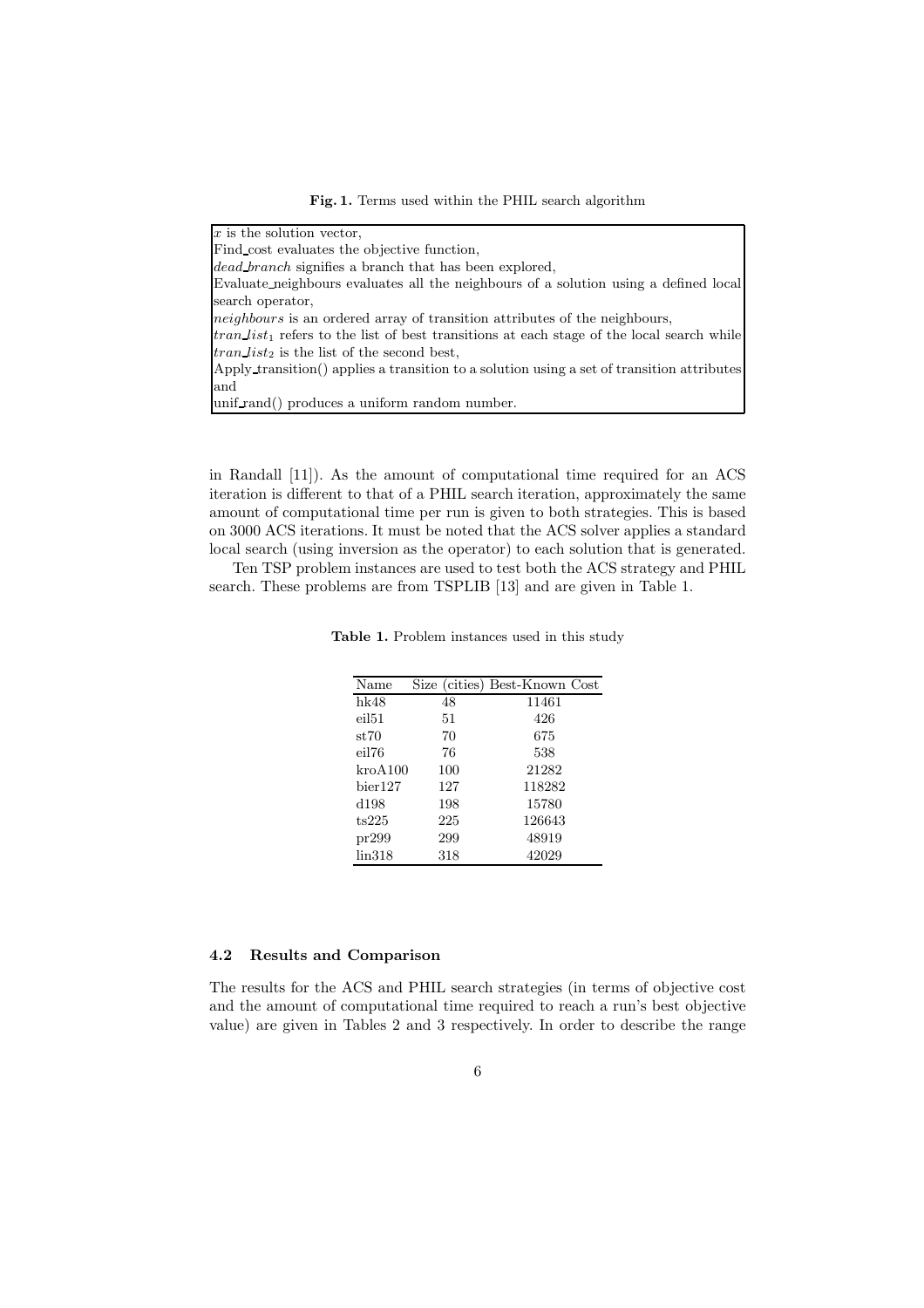| $x$ is the solution vector.                                                                 |
|---------------------------------------------------------------------------------------------|
| Find cost evaluates the objective function,                                                 |
| <i>dead branch</i> signifies a branch that has been explored.                               |
| Evaluate neighbours evaluates all the neighbours of a solution using a defined local        |
| search operator,                                                                            |
| <i>neighbours</i> is an ordered array of transition attributes of the neighbours,           |
| $tranList_1$ refers to the list of best transitions at each stage of the local search while |
| <i>tran list</i> <sub>2</sub> is the list of the second best.                               |
| Apply transition () applies a transition to a solution using a set of transition attributes |
| and                                                                                         |
| unif rand() produces a uniform random number.                                               |

in Randall [11]). As the amount of computational time required for an ACS iteration is different to that of a PHIL search iteration, approximately the same amount of computational time per run is given to both strategies. This is based on 3000 ACS iterations. It must be noted that the ACS solver applies a standard local search (using inversion as the operator) to each solution that is generated.

Ten TSP problem instances are used to test both the ACS strategy and PHIL search. These problems are from TSPLIB [13] and are given in Table 1.

|  | Table 1. Problem instances used in this study |  |  |
|--|-----------------------------------------------|--|--|
|  |                                               |  |  |

| Name            |     | Size (cities) Best-Known Cost |
|-----------------|-----|-------------------------------|
| $h$ k48         | 48  | 11461                         |
| eil51           | 51  | 426                           |
| $\mathrm{st}70$ | 70  | 675                           |
| eil76           | 76  | 538                           |
| kroA100         | 100 | 21282                         |
| bier127         | 127 | 118282                        |
| d198            | 198 | 15780                         |
| ts225           | 225 | 126643                        |
| pr299           | 299 | 48919                         |
| $\rm{lin}318$   | 318 | 42029                         |

#### 4.2 Results and Comparison

The results for the ACS and PHIL search strategies (in terms of objective cost and the amount of computational time required to reach a run's best objective value) are given in Tables 2 and 3 respectively. In order to describe the range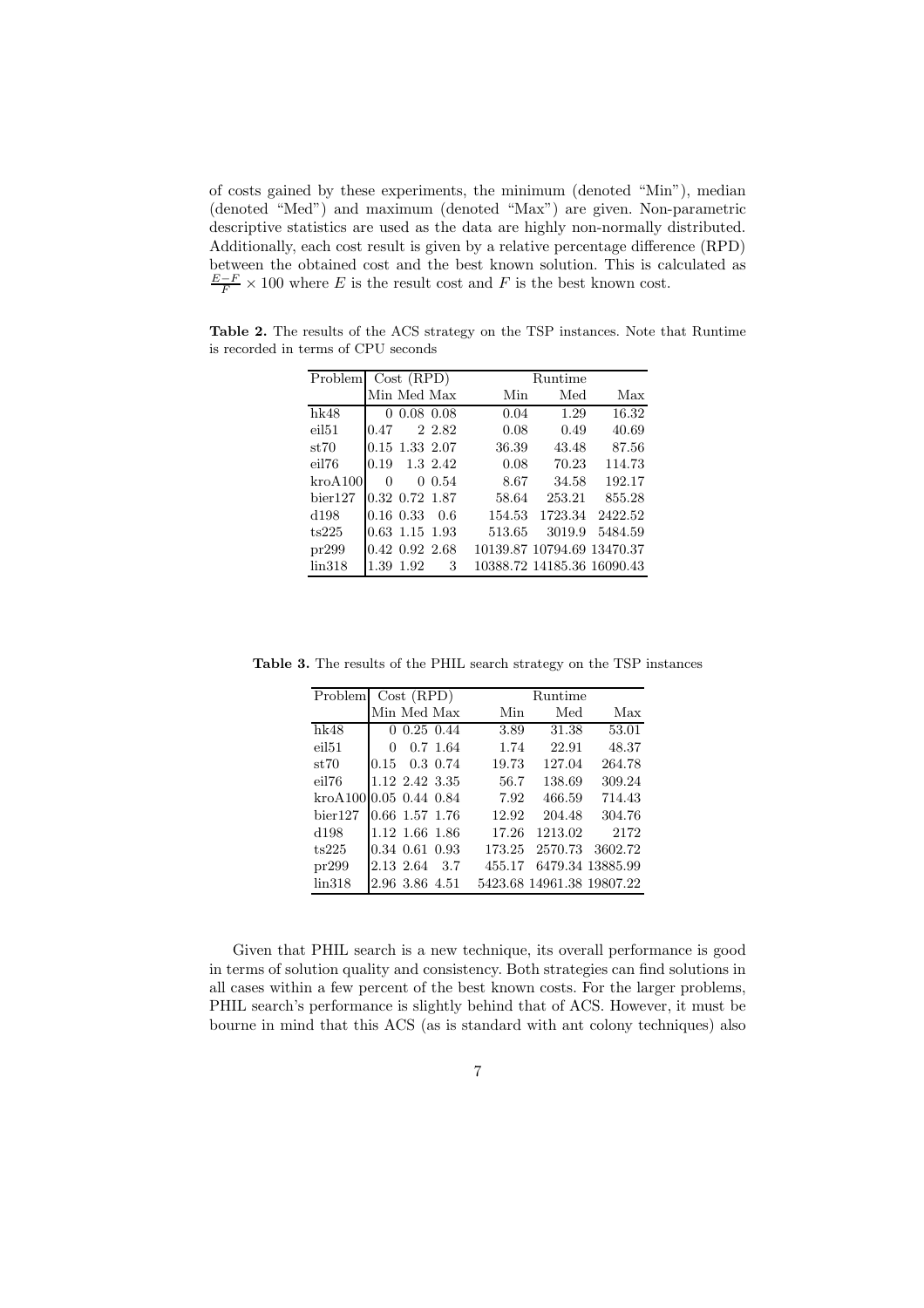of costs gained by these experiments, the minimum (denoted "Min"), median (denoted "Med") and maximum (denoted "Max") are given. Non-parametric descriptive statistics are used as the data are highly non-normally distributed. Additionally, each cost result is given by a relative percentage difference (RPD) between the obtained cost and the best known solution. This is calculated as  $\frac{E-F}{F}$  × 100 where E is the result cost and F is the best known cost.

Table 2. The results of the ACS strategy on the TSP instances. Note that Runtime is recorded in terms of CPU seconds

| Problem       | Cost (RPD) |                      |          |        | Runtime                    |         |  |
|---------------|------------|----------------------|----------|--------|----------------------------|---------|--|
|               |            | Min Med Max          |          | Min    | Med                        | Max     |  |
| hk48          |            | 0,0.08,0.08          |          | 0.04   | 1.29                       | 16.32   |  |
| eil51         | 0.47       |                      | 2 2.82   | 0.08   | 0.49                       | 40.69   |  |
| st70          |            | 0.15 1.33 2.07       |          | 36.39  | 43.48                      | 87.56   |  |
| eil76         | 0.19       |                      | 1.3 2.42 | 0.08   | 70.23                      | 114.73  |  |
| $k$ ro $A100$ | 0          |                      | 0.54     | 8.67   | 34.58                      | 192.17  |  |
| bier127       |            | 0.32 0.72 1.87       |          | 58.64  | 253.21                     | 855.28  |  |
| d198          |            | $0.16$ $0.33$        | 0.6      | 154.53 | 1723.34                    | 2422.52 |  |
| ts225         |            | $0.63$ 1.15 1.93     |          | 513.65 | 3019.9                     | 5484.59 |  |
| pr299         |            | $0.42$ $0.92$ $2.68$ |          |        | 10139.87 10794.69 13470.37 |         |  |
| lin318        |            | 1.39 1.92            | 3        |        | 10388.72 14185.36 16090.43 |         |  |

Table 3. The results of the PHIL search strategy on the TSP instances

| Problem           | Cost (RPD)               | Runtime                      |
|-------------------|--------------------------|------------------------------|
|                   | Min Med Max              | Min<br>Med<br>Max            |
| $h$ k48           | 0.0.25 0.44              | 53.01<br>31.38<br>3.89       |
| eil <sub>51</sub> | $0.7$ 1.64<br>0          | 22.91<br>1.74<br>48.37       |
| $\mathrm{st}70$   | 0.3 0.74<br>0.15         | 264.78<br>19.73<br>127.04    |
| eil76             | 1.12 2.42 3.35           | 309.24<br>138.69<br>56.7     |
|                   | $kroA10010.05$ 0.44 0.84 | 714.43<br>7.92<br>466.59     |
| bier127           | 0.66 1.57 1.76           | 12.92<br>304.76<br>204.48    |
| d198              | 1.12 1.66 1.86           | 1213.02<br>17.26<br>2172     |
| ts225             | 0.34 0.61 0.93           | 173.25<br>2570.73<br>3602.72 |
| pr299             | 2.13 2.64<br>3.7         | 6479.34 13885.99<br>455.17   |
| $\ln 318$         | 2.96 3.86 4.51           | 5423.68 14961.38 19807.22    |

Given that PHIL search is a new technique, its overall performance is good in terms of solution quality and consistency. Both strategies can find solutions in all cases within a few percent of the best known costs. For the larger problems, PHIL search's performance is slightly behind that of ACS. However, it must be bourne in mind that this ACS (as is standard with ant colony techniques) also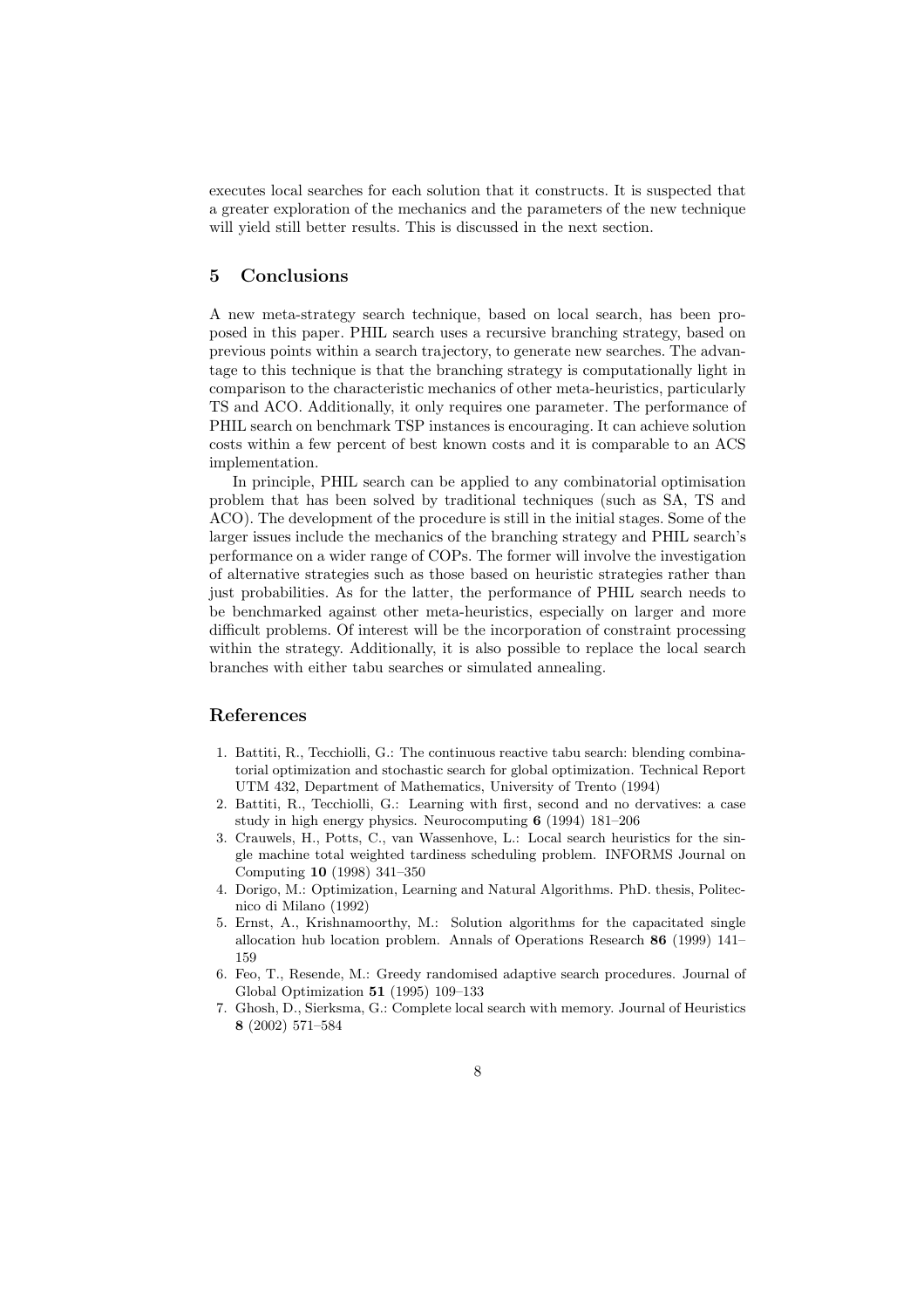executes local searches for each solution that it constructs. It is suspected that a greater exploration of the mechanics and the parameters of the new technique will yield still better results. This is discussed in the next section.

### 5 Conclusions

A new meta-strategy search technique, based on local search, has been proposed in this paper. PHIL search uses a recursive branching strategy, based on previous points within a search trajectory, to generate new searches. The advantage to this technique is that the branching strategy is computationally light in comparison to the characteristic mechanics of other meta-heuristics, particularly TS and ACO. Additionally, it only requires one parameter. The performance of PHIL search on benchmark TSP instances is encouraging. It can achieve solution costs within a few percent of best known costs and it is comparable to an ACS implementation.

In principle, PHIL search can be applied to any combinatorial optimisation problem that has been solved by traditional techniques (such as SA, TS and ACO). The development of the procedure is still in the initial stages. Some of the larger issues include the mechanics of the branching strategy and PHIL search's performance on a wider range of COPs. The former will involve the investigation of alternative strategies such as those based on heuristic strategies rather than just probabilities. As for the latter, the performance of PHIL search needs to be benchmarked against other meta-heuristics, especially on larger and more difficult problems. Of interest will be the incorporation of constraint processing within the strategy. Additionally, it is also possible to replace the local search branches with either tabu searches or simulated annealing.

#### References

- 1. Battiti, R., Tecchiolli, G.: The continuous reactive tabu search: blending combinatorial optimization and stochastic search for global optimization. Technical Report UTM 432, Department of Mathematics, University of Trento (1994)
- 2. Battiti, R., Tecchiolli, G.: Learning with first, second and no dervatives: a case study in high energy physics. Neurocomputing 6 (1994) 181–206
- 3. Crauwels, H., Potts, C., van Wassenhove, L.: Local search heuristics for the single machine total weighted tardiness scheduling problem. INFORMS Journal on Computing 10 (1998) 341–350
- 4. Dorigo, M.: Optimization, Learning and Natural Algorithms. PhD. thesis, Politecnico di Milano (1992)
- 5. Ernst, A., Krishnamoorthy, M.: Solution algorithms for the capacitated single allocation hub location problem. Annals of Operations Research 86 (1999) 141– 159
- 6. Feo, T., Resende, M.: Greedy randomised adaptive search procedures. Journal of Global Optimization 51 (1995) 109–133
- 7. Ghosh, D., Sierksma, G.: Complete local search with memory. Journal of Heuristics 8 (2002) 571–584